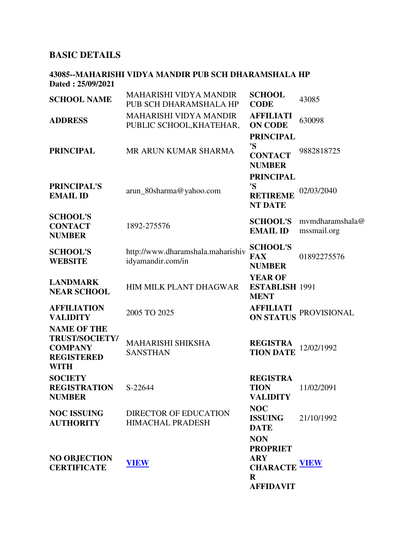# **BASIC DETAILS**

#### **43085--MAHARISHI VIDYA MANDIR PUB SCH DHARAMSHALA HP Dated : 25/09/2021**

| <b>SCHOOL NAME</b>                                                                                | <b>MAHARISHI VIDYA MANDIR</b><br>PUB SCH DHARAMSHALA HP   | <b>SCHOOL</b><br><b>CODE</b>                                                                           | 43085                          |
|---------------------------------------------------------------------------------------------------|-----------------------------------------------------------|--------------------------------------------------------------------------------------------------------|--------------------------------|
| <b>ADDRESS</b>                                                                                    | <b>MAHARISHI VIDYA MANDIR</b><br>PUBLIC SCHOOL, KHATEHAR, | <b>AFFILIATI</b><br><b>ON CODE</b>                                                                     | 630098                         |
| <b>PRINCIPAL</b>                                                                                  | MR ARUN KUMAR SHARMA                                      | <b>PRINCIPAL</b><br>'S<br><b>CONTACT</b><br><b>NUMBER</b>                                              | 9882818725                     |
| <b>PRINCIPAL'S</b><br><b>EMAIL ID</b>                                                             | arun_80sharma@yahoo.com                                   | <b>PRINCIPAL</b><br>'S<br><b>RETIREME</b><br><b>NT DATE</b>                                            | 02/03/2040                     |
| <b>SCHOOL'S</b><br><b>CONTACT</b><br><b>NUMBER</b>                                                | 1892-275576                                               | <b>SCHOOL'S</b><br><b>EMAIL ID</b>                                                                     | mymdharamshala@<br>mssmail.org |
| <b>SCHOOL'S</b><br><b>WEBSITE</b>                                                                 | http://www.dharamshala.maharishiv<br>idyamandir.com/in    | <b>SCHOOL'S</b><br><b>FAX</b><br><b>NUMBER</b>                                                         | 01892275576                    |
| <b>LANDMARK</b><br><b>NEAR SCHOOL</b>                                                             | HIM MILK PLANT DHAGWAR                                    | <b>YEAR OF</b><br><b>ESTABLISH 1991</b><br><b>MENT</b>                                                 |                                |
| <b>AFFILIATION</b><br><b>VALIDITY</b>                                                             | 2005 TO 2025                                              | <b>AFFILIATI</b><br><b>ON STATUS</b>                                                                   | <b>PROVISIONAL</b>             |
| <b>NAME OF THE</b><br><b>TRUST/SOCIETY/</b><br><b>COMPANY</b><br><b>REGISTERED</b><br><b>WITH</b> | <b>MAHARISHI SHIKSHA</b><br><b>SANSTHAN</b>               | <b>REGISTRA</b><br><b>TION DATE</b>                                                                    | 12/02/1992                     |
| <b>SOCIETY</b><br><b>REGISTRATION</b><br><b>NUMBER</b>                                            | S-22644                                                   | <b>REGISTRA</b><br><b>TION</b><br><b>VALIDITY</b>                                                      | 11/02/2091                     |
| <b>NOC ISSUING</b><br><b>AUTHORITY</b>                                                            | <b>DIRECTOR OF EDUCATION</b><br><b>HIMACHAL PRADESH</b>   | <b>NOC</b><br><b>ISSUING</b><br><b>DATE</b>                                                            | 21/10/1992                     |
| <b>NO OBJECTION</b><br><b>CERTIFICATE</b>                                                         | <b>VIEW</b>                                               | <b>NON</b><br><b>PROPRIET</b><br><b>ARY</b><br><b>CHARACTE VIEW</b><br>$\mathbf R$<br><b>AFFIDAVIT</b> |                                |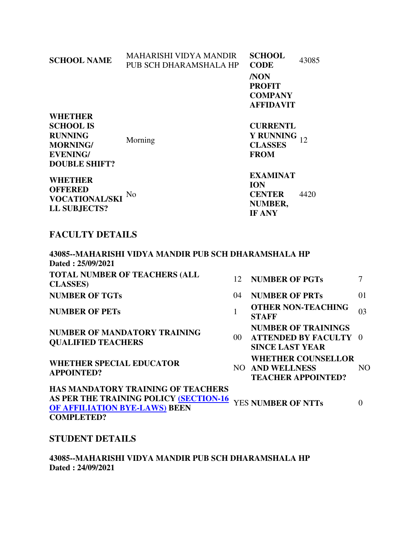| <b>SCHOOL NAME</b>                                                                                                                                                                              | <b>MAHARISHI VIDYA MANDIR</b><br>PUB SCH DHARAMSHALA HP |    | <b>SCHOOL</b><br><b>CODE</b><br>/NON<br><b>PROFIT</b><br><b>COMPANY</b><br><b>AFFIDAVIT</b>                                                               | 43085      |                |
|-------------------------------------------------------------------------------------------------------------------------------------------------------------------------------------------------|---------------------------------------------------------|----|-----------------------------------------------------------------------------------------------------------------------------------------------------------|------------|----------------|
| <b>WHETHER</b><br><b>SCHOOL IS</b><br><b>RUNNING</b><br><b>MORNING/</b><br><b>EVENING/</b><br><b>DOUBLE SHIFT?</b><br><b>WHETHER</b><br><b>OFFERED</b><br><b>VOCATIONAL/SKI</b><br>LL SUBJECTS? | Morning<br>No                                           |    | <b>CURRENTL</b><br><b>Y RUNNING</b><br><b>CLASSES</b><br><b>FROM</b><br><b>EXAMINAT</b><br><b>ION</b><br><b>CENTER</b><br><b>NUMBER,</b><br><b>IF ANY</b> | 12<br>4420 |                |
| <b>FACULTY DETAILS</b>                                                                                                                                                                          |                                                         |    |                                                                                                                                                           |            |                |
| Dated: 25/09/2021                                                                                                                                                                               | 43085--MAHARISHI VIDYA MANDIR PUB SCH DHARAMSHALA HP    |    |                                                                                                                                                           |            |                |
| <b>CLASSES</b> )                                                                                                                                                                                | <b>TOTAL NUMBER OF TEACHERS (ALL</b>                    | 12 | <b>NUMBER OF PGTs</b>                                                                                                                                     |            | $\overline{7}$ |
| <b>NUMBER OF TGTs</b>                                                                                                                                                                           |                                                         | 04 | <b>NUMBER OF PRTs</b>                                                                                                                                     |            | 01             |

**NUMBER OF PETs** 

**NUMBER OF MANDATORY TRAINING QUALIFIED TEACHERS** 

**WHETHER SPECIAL EDUCATOR APPOINTED?** 

| 04 | <b>NUMBER OF PRTs</b>                                                                | 01 |
|----|--------------------------------------------------------------------------------------|----|
| 1  | <b>OTHER NON-TEACHING</b><br><b>STAFF</b>                                            | 03 |
| 00 | <b>NUMBER OF TRAININGS</b><br><b>ATTENDED BY FACULTY 0</b><br><b>SINCE LAST YEAR</b> |    |
|    | <b>WHETHER COUNSELLOR</b><br><b>NO AND WELLNESS</b><br><b>TEACHER APPOINTED?</b>     | NΩ |
|    |                                                                                      |    |

| <b>HAS MANDATORY TRAINING OF TEACHERS</b>                 |  |
|-----------------------------------------------------------|--|
| AS PER THE TRAINING POLICY (SECTION-16 YES NUMBER OF NTTs |  |
| <b>OF AFFILIATION BYE-LAWS) BEEN</b>                      |  |
| <b>COMPLETED?</b>                                         |  |

## **STUDENT DETAILS**

**43085--MAHARISHI VIDYA MANDIR PUB SCH DHARAMSHALA HP Dated : 24/09/2021**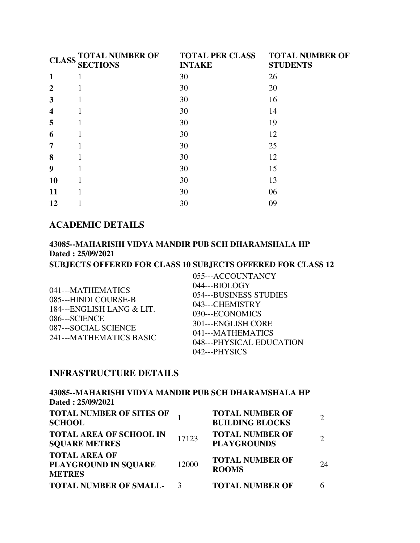| <b>CLASS</b>            | <b>TOTAL NUMBER OF</b><br><b>SECTIONS</b> | <b>TOTAL PER CLASS</b><br><b>INTAKE</b> | <b>TOTAL NUMBER OF</b><br><b>STUDENTS</b> |
|-------------------------|-------------------------------------------|-----------------------------------------|-------------------------------------------|
| $\mathbf{1}$            | 1                                         | 30                                      | 26                                        |
| $\overline{2}$          |                                           | 30                                      | 20                                        |
| 3                       |                                           | 30                                      | 16                                        |
| $\overline{\mathbf{4}}$ |                                           | 30                                      | 14                                        |
| 5                       |                                           | 30                                      | 19                                        |
| 6                       |                                           | 30                                      | 12                                        |
| $\overline{7}$          |                                           | 30                                      | 25                                        |
| 8                       | 1                                         | 30                                      | 12                                        |
| 9                       |                                           | 30                                      | 15                                        |
| <b>10</b>               |                                           | 30                                      | 13                                        |
| 11                      |                                           | 30                                      | 06                                        |
| 12                      |                                           | 30                                      | 09                                        |

# **ACADEMIC DETAILS**

#### **43085--MAHARISHI VIDYA MANDIR PUB SCH DHARAMSHALA HP Dated : 25/09/2021 SUBJECTS OFFERED FOR CLASS 10 SUBJECTS OFFERED FOR CLASS 12**

| 041---MATHEMATICS<br>085---HINDI COURSE-B<br>184---ENGLISH LANG & LIT.<br>086---SCIENCE<br>087---SOCIAL SCIENCE<br>241---MATHEMATICS BASIC | 055---ACCOUNTANCY<br>044---BIOLOGY<br>054---BUSINESS STUDIES<br>043---CHEMISTRY<br>030---ECONOMICS<br>301---ENGLISH CORE<br>041---MATHEMATICS<br>048---PHYSICAL EDUCATION<br>042---PHYSICS |
|--------------------------------------------------------------------------------------------------------------------------------------------|--------------------------------------------------------------------------------------------------------------------------------------------------------------------------------------------|
|--------------------------------------------------------------------------------------------------------------------------------------------|--------------------------------------------------------------------------------------------------------------------------------------------------------------------------------------------|

### **INFRASTRUCTURE DETAILS**

| 43085--MAHARISHI VIDYA MANDIR PUB SCH DHARAMSHALA HP<br>Dated: 25/09/2021 |       |                                                  |    |
|---------------------------------------------------------------------------|-------|--------------------------------------------------|----|
| TOTAL NUMBER OF SITES OF<br><b>SCHOOL</b>                                 |       | <b>TOTAL NUMBER OF</b><br><b>BUILDING BLOCKS</b> |    |
| <b>TOTAL AREA OF SCHOOL IN</b><br><b>SQUARE METRES</b>                    | 17123 | <b>TOTAL NUMBER OF</b><br><b>PLAYGROUNDS</b>     |    |
| <b>TOTAL AREA OF</b><br>PLAYGROUND IN SQUARE<br><b>METRES</b>             | 12000 | <b>TOTAL NUMBER OF</b><br><b>ROOMS</b>           | 24 |
| <b>TOTAL NUMBER OF SMALL-</b>                                             | 3     | <b>TOTAL NUMBER OF</b>                           |    |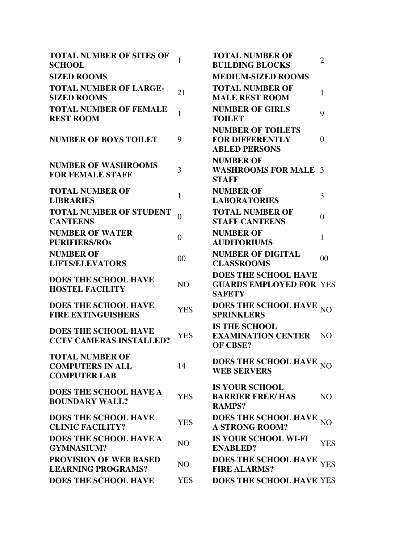| <b>TOTAL NUMBER OF SITES OF</b><br><b>SCHOOL</b>                         | $\mathbf{1}$   | <b>TOTAL NUMBER OF</b><br><b>BUILDING BLOCKS</b>                               | $\overline{2}$ |
|--------------------------------------------------------------------------|----------------|--------------------------------------------------------------------------------|----------------|
| <b>SIZED ROOMS</b>                                                       |                | <b>MEDIUM-SIZED ROOMS</b>                                                      |                |
| <b>TOTAL NUMBER OF LARGE-</b><br><b>SIZED ROOMS</b>                      | 21             | <b>TOTAL NUMBER OF</b><br><b>MALE REST ROOM</b>                                | $\mathbf{1}$   |
| <b>TOTAL NUMBER OF FEMALE</b><br><b>REST ROOM</b>                        | $\mathbf{1}$   | <b>NUMBER OF GIRLS</b><br><b>TOILET</b>                                        | 9              |
| <b>NUMBER OF BOYS TOILET</b>                                             | 9              | <b>NUMBER OF TOILETS</b><br><b>FOR DIFFERENTLY</b><br><b>ABLED PERSONS</b>     | $\theta$       |
| <b>NUMBER OF WASHROOMS</b><br><b>FOR FEMALE STAFF</b>                    | 3              | <b>NUMBER OF</b><br><b>WASHROOMS FOR MALE 3</b><br><b>STAFF</b>                |                |
| <b>TOTAL NUMBER OF</b><br><b>LIBRARIES</b>                               | $\mathbf{1}$   | <b>NUMBER OF</b><br><b>LABORATORIES</b>                                        | 3              |
| <b>TOTAL NUMBER OF STUDENT</b><br><b>CANTEENS</b>                        | $\theta$       | <b>TOTAL NUMBER OF</b><br><b>STAFF CANTEENS</b>                                | $\overline{0}$ |
| <b>NUMBER OF WATER</b><br><b>PURIFIERS/ROS</b>                           | $\theta$       | <b>NUMBER OF</b><br><b>AUDITORIUMS</b>                                         | 1              |
| <b>NUMBER OF</b><br><b>LIFTS/ELEVATORS</b>                               | 00             | <b>NUMBER OF DIGITAL</b><br><b>CLASSROOMS</b>                                  | 00             |
| <b>DOES THE SCHOOL HAVE</b><br><b>HOSTEL FACILITY</b>                    | N <sub>O</sub> | <b>DOES THE SCHOOL HAVE</b><br><b>GUARDS EMPLOYED FOR YES</b><br><b>SAFETY</b> |                |
| <b>DOES THE SCHOOL HAVE</b><br><b>FIRE EXTINGUISHERS</b>                 | <b>YES</b>     | DOES THE SCHOOL HAVE NO<br><b>SPRINKLERS</b>                                   |                |
| <b>DOES THE SCHOOL HAVE</b><br><b>CCTV CAMERAS INSTALLED?</b>            | <b>YES</b>     | <b>IS THE SCHOOL</b><br><b>EXAMINATION CENTER</b><br><b>OF CBSE?</b>           | N <sub>O</sub> |
| <b>TOTAL NUMBER OF</b><br><b>COMPUTERS IN ALL</b><br><b>COMPUTER LAB</b> | 14             | DOES THE SCHOOL HAVE NO<br><b>WEB SERVERS</b>                                  |                |
| DOES THE SCHOOL HAVE A<br><b>BOUNDARY WALL?</b>                          | <b>YES</b>     | <b>IS YOUR SCHOOL</b><br><b>BARRIER FREE/ HAS</b><br><b>RAMPS?</b>             | N <sub>O</sub> |
| <b>DOES THE SCHOOL HAVE</b><br><b>CLINIC FACILITY?</b>                   | <b>YES</b>     | <b>DOES THE SCHOOL HAVE</b><br><b>A STRONG ROOM?</b>                           | N <sub>O</sub> |
| <b>DOES THE SCHOOL HAVE A</b><br><b>GYMNASIUM?</b>                       | NO             | <b>IS YOUR SCHOOL WI-FI</b><br><b>ENABLED?</b>                                 | <b>YES</b>     |
| <b>PROVISION OF WEB BASED</b><br><b>LEARNING PROGRAMS?</b>               | NO             | DOES THE SCHOOL HAVE <sub>YES</sub><br><b>FIRE ALARMS?</b>                     |                |
| <b>DOES THE SCHOOL HAVE</b>                                              | <b>YES</b>     | <b>DOES THE SCHOOL HAVE YES</b>                                                |                |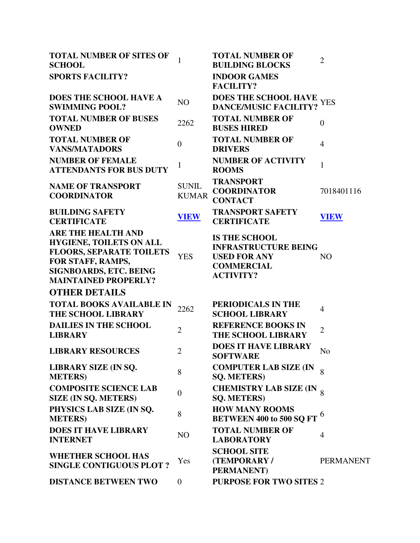| <b>TOTAL NUMBER OF SITES OF</b><br><b>SCHOOL</b>                                                                                                                             | $\mathbf{1}$                 | <b>TOTAL NUMBER OF</b><br><b>BUILDING BLOCKS</b>                                                                    | $\overline{2}$        |
|------------------------------------------------------------------------------------------------------------------------------------------------------------------------------|------------------------------|---------------------------------------------------------------------------------------------------------------------|-----------------------|
| <b>SPORTS FACILITY?</b>                                                                                                                                                      |                              | <b>INDOOR GAMES</b><br><b>FACILITY?</b>                                                                             |                       |
| <b>DOES THE SCHOOL HAVE A</b><br><b>SWIMMING POOL?</b>                                                                                                                       | NO                           | DOES THE SCHOOL HAVE<br><b>DANCE/MUSIC FACILITY?</b>                                                                | <b>YES</b>            |
| <b>TOTAL NUMBER OF BUSES</b><br><b>OWNED</b>                                                                                                                                 | 2262                         | <b>TOTAL NUMBER OF</b><br><b>BUSES HIRED</b>                                                                        | $\overline{0}$        |
| <b>TOTAL NUMBER OF</b><br><b>VANS/MATADORS</b>                                                                                                                               | $\overline{0}$               | <b>TOTAL NUMBER OF</b><br><b>DRIVERS</b>                                                                            | $\overline{4}$        |
| <b>NUMBER OF FEMALE</b><br><b>ATTENDANTS FOR BUS DUTY</b>                                                                                                                    | $\mathbf{1}$                 | <b>NUMBER OF ACTIVITY</b><br><b>ROOMS</b>                                                                           | 1                     |
| <b>NAME OF TRANSPORT</b><br><b>COORDINATOR</b>                                                                                                                               | <b>SUNIL</b><br><b>KUMAR</b> | <b>TRANSPORT</b><br><b>COORDINATOR</b><br><b>CONTACT</b>                                                            | 7018401116            |
| <b>BUILDING SAFETY</b><br><b>CERTIFICATE</b>                                                                                                                                 | <b>VIEW</b>                  | <b>TRANSPORT SAFETY</b><br><b>CERTIFICATE</b>                                                                       | <b>VIEW</b>           |
| <b>ARE THE HEALTH AND</b><br><b>HYGIENE, TOILETS ON ALL</b><br><b>FLOORS, SEPARATE TOILETS</b><br>FOR STAFF, RAMPS,<br>SIGNBOARDS, ETC. BEING<br><b>MAINTAINED PROPERLY?</b> | <b>YES</b>                   | <b>IS THE SCHOOL</b><br><b>INFRASTRUCTURE BEING</b><br><b>USED FOR ANY</b><br><b>COMMERCIAL</b><br><b>ACTIVITY?</b> | N <sub>O</sub>        |
| <b>OTHER DETAILS</b>                                                                                                                                                         |                              |                                                                                                                     |                       |
| <b>TOTAL BOOKS AVAILABLE IN</b><br><b>THE SCHOOL LIBRARY</b>                                                                                                                 | 2262                         | PERIODICALS IN THE<br><b>SCHOOL LIBRARY</b>                                                                         | $\overline{4}$        |
| <b>DAILIES IN THE SCHOOL</b><br><b>LIBRARY</b>                                                                                                                               | $\overline{2}$               | <b>REFERENCE BOOKS IN</b><br><b>THE SCHOOL LIBRARY</b>                                                              | $\overline{2}$        |
| <b>LIBRARY RESOURCES</b>                                                                                                                                                     | $\overline{2}$               | <b>DOES IT HAVE LIBRARY</b><br><b>SOFTWARE</b>                                                                      | N <sub>o</sub>        |
| <b>LIBRARY SIZE (IN SQ.</b><br><b>METERS</b> )                                                                                                                               | 8                            | <b>COMPUTER LAB SIZE (IN</b><br><b>SQ. METERS)</b>                                                                  | 8                     |
| <b>COMPOSITE SCIENCE LAB</b><br><b>SIZE (IN SQ. METERS)</b>                                                                                                                  | $\overline{0}$               | <b>CHEMISTRY LAB SIZE (IN 8)</b><br><b>SQ. METERS)</b>                                                              |                       |
| PHYSICS LAB SIZE (IN SQ.<br><b>METERS</b> )                                                                                                                                  | 8                            | <b>HOW MANY ROOMS</b><br><b>BETWEEN 400 to 500 SQ FT</b>                                                            | $\boldsymbol{\theta}$ |
| <b>DOES IT HAVE LIBRARY</b><br><b>INTERNET</b>                                                                                                                               | NO                           | <b>TOTAL NUMBER OF</b><br><b>LABORATORY</b>                                                                         | $\overline{4}$        |
| <b>WHETHER SCHOOL HAS</b><br><b>SINGLE CONTIGUOUS PLOT ?</b>                                                                                                                 | Yes                          | <b>SCHOOL SITE</b><br>(TEMPORARY/<br><b>PERMANENT</b> )                                                             | <b>PERMANENT</b>      |
| <b>DISTANCE BETWEEN TWO</b>                                                                                                                                                  | $\overline{0}$               | <b>PURPOSE FOR TWO SITES 2</b>                                                                                      |                       |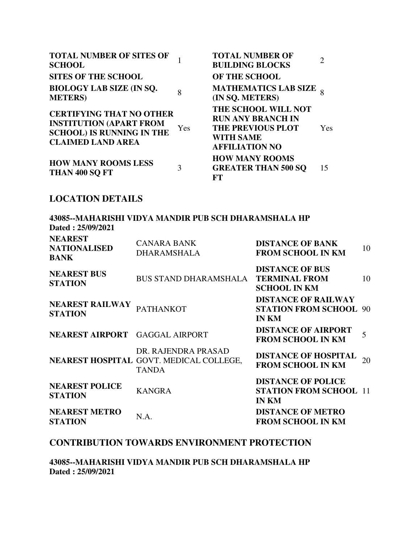| <b>TOTAL NUMBER OF SITES OF</b><br><b>SCHOOL</b>                                                                                  |     | <b>TOTAL NUMBER OF</b><br><b>BUILDING BLOCKS</b>                                                                         |            |
|-----------------------------------------------------------------------------------------------------------------------------------|-----|--------------------------------------------------------------------------------------------------------------------------|------------|
| <b>SITES OF THE SCHOOL</b>                                                                                                        |     | <b>OF THE SCHOOL</b>                                                                                                     |            |
| <b>BIOLOGY LAB SIZE (IN SQ.</b><br><b>METERS</b>                                                                                  | 8   | <b>MATHEMATICS LAB SIZE</b><br>(IN SQ. METERS)                                                                           |            |
| <b>CERTIFYING THAT NO OTHER</b><br><b>INSTITUTION (APART FROM</b><br><b>SCHOOL) IS RUNNING IN THE</b><br><b>CLAIMED LAND AREA</b> | Yes | THE SCHOOL WILL NOT<br><b>RUN ANY BRANCH IN</b><br><b>THE PREVIOUS PLOT</b><br><b>WITH SAME</b><br><b>AFFILIATION NO</b> | <b>Yes</b> |
| <b>HOW MANY ROOMS LESS</b><br>THAN 400 SQ FT                                                                                      | 3   | <b>HOW MANY ROOMS</b><br><b>GREATER THAN 500 SO</b><br>FТ                                                                | 15         |

# **LOCATION DETAILS**

| Dated: 25/09/2021                                    | 43085--MAHARISHI VIDYA MANDIR PUB SCH DHARAMSHALA HP                           |                                                                             |    |
|------------------------------------------------------|--------------------------------------------------------------------------------|-----------------------------------------------------------------------------|----|
| <b>NEAREST</b><br><b>NATIONALISED</b><br><b>BANK</b> | <b>CANARA BANK</b><br><b>DHARAMSHALA</b>                                       | <b>DISTANCE OF BANK</b><br><b>FROM SCHOOL IN KM</b>                         | 10 |
| <b>NEAREST BUS</b><br><b>STATION</b>                 | <b>BUS STAND DHARAMSHALA</b>                                                   | <b>DISTANCE OF BUS</b><br><b>TERMINAL FROM</b><br><b>SCHOOL IN KM</b>       | 10 |
| <b>NEAREST RAILWAY</b><br><b>STATION</b>             | <b>PATHANKOT</b>                                                               | <b>DISTANCE OF RAILWAY</b><br><b>STATION FROM SCHOOL 90</b><br><b>IN KM</b> |    |
| NEAREST AIRPORT GAGGAL AIRPORT                       |                                                                                | <b>DISTANCE OF AIRPORT</b><br><b>FROM SCHOOL IN KM</b>                      | 5  |
|                                                      | DR. RAJENDRA PRASAD<br>NEAREST HOSPITAL GOVT. MEDICAL COLLEGE,<br><b>TANDA</b> | <b>DISTANCE OF HOSPITAL</b><br><b>FROM SCHOOL IN KM</b>                     | 20 |
| <b>NEAREST POLICE</b><br><b>STATION</b>              | <b>KANGRA</b>                                                                  | <b>DISTANCE OF POLICE</b><br><b>STATION FROM SCHOOL 11</b><br><b>IN KM</b>  |    |
| <b>NEAREST METRO</b><br><b>STATION</b>               | N.A.                                                                           | <b>DISTANCE OF METRO</b><br><b>FROM SCHOOL IN KM</b>                        |    |

### **CONTRIBUTION TOWARDS ENVIRONMENT PROTECTION**

**43085--MAHARISHI VIDYA MANDIR PUB SCH DHARAMSHALA HP Dated : 25/09/2021**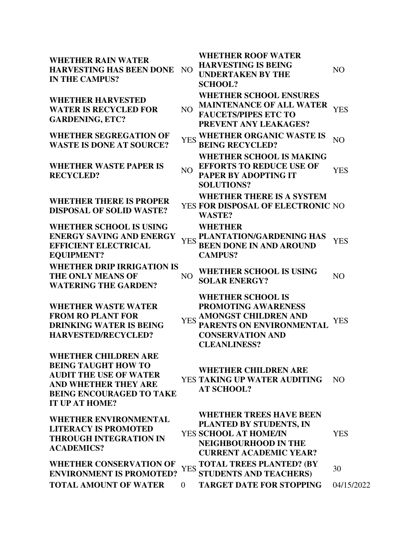**WHETHER RAIN WATER HARVESTING HAS BEEN DONE**  NO **IN THE CAMPUS?**

**WHETHER HARVESTED WATER IS RECYCLED FOR GARDENING, ETC?**

**WHETHER SEGREGATION OF** 

**WHETHER WASTE PAPER IS RECYCLED?** NO

**WHETHER THERE IS PROPER DISPOSAL OF SOLID WASTE?** 

**WHETHER SCHOOL IS USING ENERGY SAVING AND ENERGY EFFICIENT ELECTRICAL EQUIPMENT? WHETHER DRIP IRRIGATION IS THE ONLY MEANS OF WATERING THE GARDEN?**

**WHETHER WASTE WATER FROM RO PLANT FOR DRINKING WATER IS BEING HARVESTED/RECYCLED?**

**WHETHER CHILDREN ARE BEING TAUGHT HOW TO AUDIT THE USE OF WATER AND WHETHER THEY ARE BEING ENCOURAGED TO TAKE IT UP AT HOME?**

**WHETHER ROOF WATER HARVESTING IS BEING UNDERTAKEN BY THE SCHOOL?**

**WHETHER SCHOOL ENSURES** 

NO **MAINTENANCE OF ALL WATER FAUCETS/PIPES ETC TO PREVENT ANY LEAKAGES?** YES

NO

- **WASTE IS DONE AT SOURCE?** YES **WHETHER ORGANIC WASTE IS BEING RECYCLED?** NO
	- **WHETHER SCHOOL IS MAKING EFFORTS TO REDUCE USE OF**
	- **PAPER BY ADOPTING IT SOLUTIONS? YES**

**WHETHER THERE IS A SYSTEM** 

**FOR DISPOSAL OF ELECTRONIC**  NO **WASTE?**

**WHETHER** 

- YES **PLANTATION/GARDENING HAS BEEN DONE IN AND AROUND CAMPUS? YES**
- NO **WHETHER SCHOOL IS USING SOLAR ENERGY?** NO

**WHETHER SCHOOL IS PROMOTING AWARENESS** 

YES **AMONGST CHILDREN AND PARENTS ON ENVIRONMENTAL CONSERVATION AND CLEANLINESS?** YES

**WHETHER CHILDREN ARE** 

YES **TAKING UP WATER AUDITING AT SCHOOL?** NO

| <b>ACADEMICS?</b> | <b>WHETHER ENVIRONMENTAL</b><br><b>LITERACY IS PROMOTED</b><br><b>THROUGH INTEGRATION IN</b> | <b>WHETHER TREES HAVE BEEN</b><br>PLANTED BY STUDENTS, IN<br>YES SCHOOL AT HOME/IN<br>NEIGHBOURHOOD IN THE<br><b>CURRENT ACADEMIC YEAR?</b> | YES        |
|-------------------|----------------------------------------------------------------------------------------------|---------------------------------------------------------------------------------------------------------------------------------------------|------------|
|                   | WHETHER CONSERVATION OF<br><b>ENVIRONMENT IS PROMOTED?</b>                                   | YES TOTAL TREES PLANTED? (BY<br>STUDENTS AND TEACHERS)                                                                                      | 30         |
|                   | <b>TOTAL AMOUNT OF WATER</b>                                                                 | <b>TARGET DATE FOR STOPPING</b>                                                                                                             | 04/15/2022 |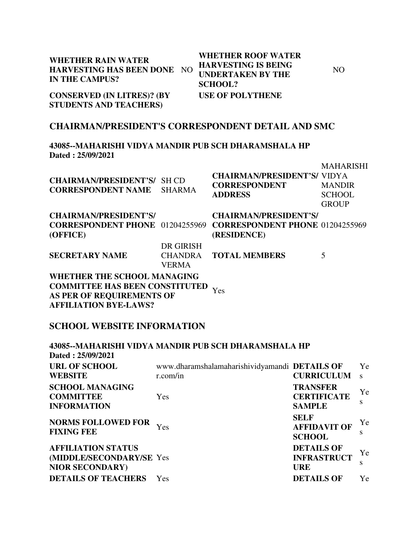| <b>WHETHER RAIN WATER</b><br><b>HARVESTING HAS BEEN DONE</b><br><b>IN THE CAMPUS?</b>                    | N <sub>O</sub>                              | <b>WHETHER ROOF WATER</b><br><b>HARVESTING IS BEING</b><br><b>UNDERTAKEN BY THE</b><br><b>SCHOOL?</b> | N <sub>O</sub>                                                     |
|----------------------------------------------------------------------------------------------------------|---------------------------------------------|-------------------------------------------------------------------------------------------------------|--------------------------------------------------------------------|
| <b>CONSERVED (IN LITRES)? (BY</b><br><b>STUDENTS AND TEACHERS)</b>                                       |                                             | <b>USE OF POLYTHENE</b>                                                                               |                                                                    |
|                                                                                                          |                                             | <b>CHAIRMAN/PRESIDENT'S CORRESPONDENT DETAIL AND SMC</b>                                              |                                                                    |
| Dated: 25/09/2021                                                                                        |                                             | 43085--MAHARISHI VIDYA MANDIR PUB SCH DHARAMSHALA HP                                                  |                                                                    |
| <b>CHAIRMAN/PRESIDENT'S/</b><br><b>CORRESPONDENT NAME</b>                                                | <b>SH CD</b><br><b>SHARMA</b>               | <b>CHAIRMAN/PRESIDENT'S/ VIDYA</b><br><b>CORRESPONDENT</b><br><b>ADDRESS</b>                          | <b>MAHARISHI</b><br><b>MANDIR</b><br><b>SCHOOL</b><br><b>GROUP</b> |
| <b>CHAIRMAN/PRESIDENT'S/</b><br><b>CORRESPONDENT PHONE</b> 01204255969<br>(OFFICE)                       |                                             | <b>CHAIRMAN/PRESIDENT'S/</b><br><b>CORRESPONDENT PHONE 01204255969</b><br>(RESIDENCE)                 |                                                                    |
| <b>SECRETARY NAME</b>                                                                                    | DR GIRISH<br><b>CHANDRA</b><br><b>VERMA</b> | <b>TOTAL MEMBERS</b>                                                                                  | 5                                                                  |
| <b>WHETHER THE SCHOOL MANAGING</b><br><b>COMMITTEE HAS BEEN CONSTITUTED</b><br>AS PER OF REQUIREMENTS OF |                                             | Yes                                                                                                   |                                                                    |

# **SCHOOL WEBSITE INFORMATION**

**AFFILIATION BYE-LAWS?**

|                                                       | 43085--MAHARISHI VIDYA MANDIR PUB SCH DHARAMSHALA HP |                                                     |              |
|-------------------------------------------------------|------------------------------------------------------|-----------------------------------------------------|--------------|
| Dated: 25/09/2021                                     |                                                      |                                                     |              |
| <b>URL OF SCHOOL</b>                                  | www.dharamshalamaharishividyamandi DETAILS OF        |                                                     | Ye           |
| <b>WEBSITE</b>                                        | r.com/in                                             | <b>CURRICULUM</b>                                   | $\mathbf{s}$ |
| <b>SCHOOL MANAGING</b>                                |                                                      | <b>TRANSFER</b>                                     | Ye           |
| <b>COMMITTEE</b>                                      | <b>Yes</b>                                           | <b>CERTIFICATE</b>                                  |              |
| <b>INFORMATION</b>                                    |                                                      | <b>SAMPLE</b>                                       | S            |
| <b>NORMS FOLLOWED FOR</b><br><b>FIXING FEE</b>        | Yes                                                  | <b>SELF</b><br><b>AFFIDAVIT OF</b><br><b>SCHOOL</b> | Ye<br>S      |
| <b>AFFILIATION STATUS</b><br>(MIDDLE/SECONDARY/SE Yes |                                                      | <b>DETAILS OF</b><br><b>INFRASTRUCT</b>             | Ye           |
| <b>NIOR SECONDARY)</b>                                |                                                      | <b>URE</b>                                          | S            |
| <b>DETAILS OF TEACHERS</b>                            | <b>Yes</b>                                           | <b>DETAILS OF</b>                                   | Yе           |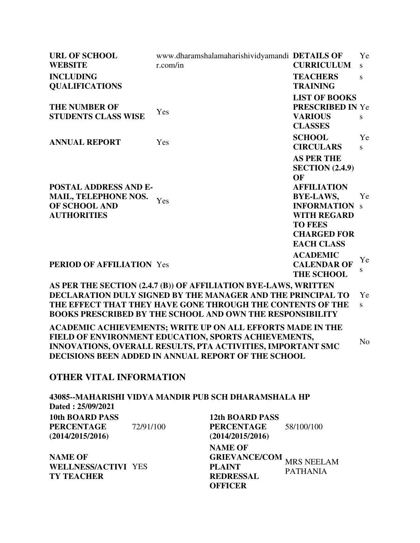| <b>URL OF SCHOOL</b><br><b>WEBSITE</b>                                                      | www.dharamshalamaharishividyamandi DETAILS OF<br>r.com/in                                                                                                                                                                                                        | <b>CURRICULUM</b>                                                                                                                                                                                    | Ye<br>S         |
|---------------------------------------------------------------------------------------------|------------------------------------------------------------------------------------------------------------------------------------------------------------------------------------------------------------------------------------------------------------------|------------------------------------------------------------------------------------------------------------------------------------------------------------------------------------------------------|-----------------|
| <b>INCLUDING</b><br><b>QUALIFICATIONS</b>                                                   |                                                                                                                                                                                                                                                                  | <b>TEACHERS</b><br><b>TRAINING</b>                                                                                                                                                                   | S               |
| <b>THE NUMBER OF</b><br><b>STUDENTS CLASS WISE</b>                                          | Yes                                                                                                                                                                                                                                                              | <b>LIST OF BOOKS</b><br><b>PRESCRIBED IN Ye</b><br><b>VARIOUS</b><br><b>CLASSES</b>                                                                                                                  | S               |
| <b>ANNUAL REPORT</b>                                                                        | Yes                                                                                                                                                                                                                                                              | <b>SCHOOL</b><br><b>CIRCULARS</b>                                                                                                                                                                    | Ye<br>S         |
| <b>POSTAL ADDRESS AND E-</b><br>MAIL, TELEPHONE NOS.<br>OF SCHOOL AND<br><b>AUTHORITIES</b> | Yes                                                                                                                                                                                                                                                              | <b>AS PER THE</b><br><b>SECTION</b> (2.4.9)<br>OF<br><b>AFFILIATION</b><br><b>BYE-LAWS,</b><br><b>INFORMATION</b><br><b>WITH REGARD</b><br><b>TO FEES</b><br><b>CHARGED FOR</b><br><b>EACH CLASS</b> | Ye<br>S         |
| <b>PERIOD OF AFFILIATION Yes</b>                                                            |                                                                                                                                                                                                                                                                  | <b>ACADEMIC</b><br><b>CALENDAR OF</b><br><b>THE SCHOOL</b>                                                                                                                                           | Ye<br>S         |
|                                                                                             | AS PER THE SECTION (2.4.7 (B)) OF AFFILIATION BYE-LAWS, WRITTEN<br>DECLARATION DULY SIGNED BY THE MANAGER AND THE PRINCIPAL TO<br>THE EFFECT THAT THEY HAVE GONE THROUGH THE CONTENTS OF THE<br><b>BOOKS PRESCRIBED BY THE SCHOOL AND OWN THE RESPONSIBILITY</b> |                                                                                                                                                                                                      | Ye<br>${\bf S}$ |
|                                                                                             | ACADEMIC ACHIEVEMENTS; WRITE UP ON ALL EFFORTS MADE IN THE<br>FIELD OF ENVIRONMENT EDUCATION, SPORTS ACHIEVEMENTS,<br>INNOVATIONS, OVERALL RESULTS, PTA ACTIVITIES, IMPORTANT SMC<br>DECISIONS BEEN ADDED IN ANNUAL REPORT OF THE SCHOOL                         |                                                                                                                                                                                                      | N <sub>o</sub>  |
| <b>OTHER VITAL INFORMATION</b>                                                              |                                                                                                                                                                                                                                                                  |                                                                                                                                                                                                      |                 |
| Dated: 25/09/2021                                                                           | 43085--MAHARISHI VIDYA MANDIR PUB SCH DHARAMSHALA HP                                                                                                                                                                                                             |                                                                                                                                                                                                      |                 |
| <b>10th BOARD PASS</b><br><b>PERCENTAGE</b><br>72/91/100<br>(2014/2015/2016)                | <b>12th BOARD PASS</b><br><b>PERCENTAGE</b><br>(2014/2015/2016)                                                                                                                                                                                                  | 58/100/100                                                                                                                                                                                           |                 |

**NAME OF WELLNESS/ACTIVI** YES **TY TEACHER**

**NAME OF GRIEVANCE/COM** MRS NEELAM **PLAINT REDRESSAL OFFICER** PATHANIA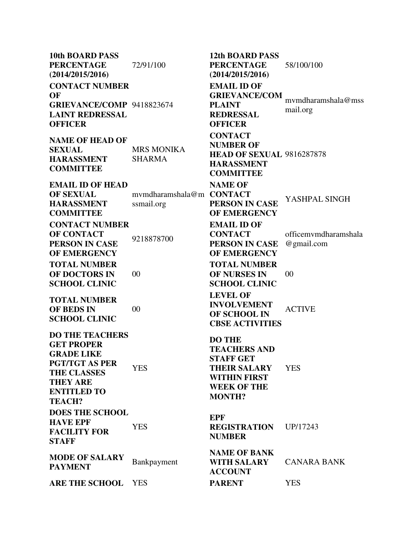**10th BOARD PASS PERCENTAGE (2014/2015/2016)** 72/91/100 **12th BOARD PASS PERCENTAGE (2014/2015/2016)** 58/100/100 **CONTACT NUMBER OF GRIEVANCE/COMP** 9418823674 **LAINT REDRESSAL OFFICER EMAIL ID OF GRIEVANCE/COM PLAINT REDRESSAL OFFICER** mvmdharamshala@mss mail.org **NAME OF HEAD OF SEXUAL HARASSMENT COMMITTEE** MRS MONIKA SHARMA **CONTACT NUMBER OF HEAD OF SEXUAL**  9816287878 **HARASSMENT COMMITTEE EMAIL ID OF HEAD OF SEXUAL HARASSMENT COMMITTEE** mvmdharamshala@m **CONTACT**  ssmail.org **NAME OF PERSON IN CASE OF EMERGENCY** YASHPAL SINGH **CONTACT NUMBER OF CONTACT PERSON IN CASE OF EMERGENCY** 9218878700 **EMAIL ID OF CONTACT PERSON IN CASE OF EMERGENCY** officemvmdharamshala @gmail.com **TOTAL NUMBER OF DOCTORS IN SCHOOL CLINIC** 00 **TOTAL NUMBER OF NURSES IN SCHOOL CLINIC** 00 **TOTAL NUMBER OF BEDS IN SCHOOL CLINIC** 00 **LEVEL OF INVOLVEMENT OF SCHOOL IN CBSE ACTIVITIES** ACTIVE **DO THE TEACHERS GET PROPER GRADE LIKE PGT/TGT AS PER THE CLASSES THEY ARE ENTITLED TO TEACH?** YES **DO THE TEACHERS AND STAFF GET THEIR SALARY WITHIN FIRST WEEK OF THE MONTH? YES DOES THE SCHOOL HAVE EPF FACILITY FOR STAFF YES EPF REGISTRATION NUMBER** UP/17243 **MODE OF SALARY PAYMENT** Bankpayment **NAME OF BANK WITH SALARY ACCOUNT** CANARA BANK **ARE THE SCHOOL** YES **PARENT** YES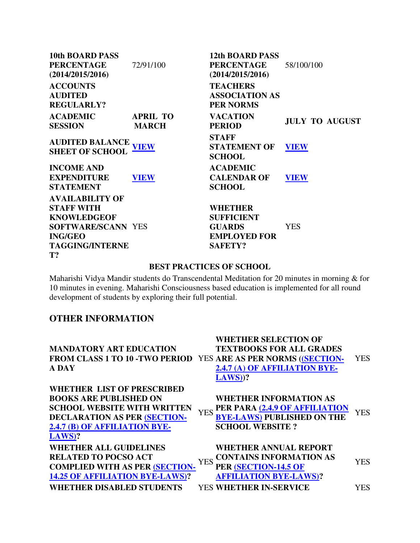| <b>10th BOARD PASS</b>    |                 | <b>12th BOARD PASS</b> |                       |
|---------------------------|-----------------|------------------------|-----------------------|
| <b>PERCENTAGE</b>         | 72/91/100       | <b>PERCENTAGE</b>      | 58/100/100            |
| (2014/2015/2016)          |                 | (2014/2015/2016)       |                       |
| <b>ACCOUNTS</b>           |                 | <b>TEACHERS</b>        |                       |
| <b>AUDITED</b>            |                 | <b>ASSOCIATION AS</b>  |                       |
| <b>REGULARLY?</b>         |                 | <b>PER NORMS</b>       |                       |
| <b>ACADEMIC</b>           | <b>APRIL TO</b> | <b>VACATION</b>        | <b>JULY TO AUGUST</b> |
| <b>SESSION</b>            | <b>MARCH</b>    | <b>PERIOD</b>          |                       |
| <b>AUDITED BALANCE</b>    |                 | <b>STAFF</b>           |                       |
| <b>SHEET OF SCHOOL</b>    | <b>VIEW</b>     | <b>STATEMENT OF</b>    | <b>VIEW</b>           |
|                           |                 | <b>SCHOOL</b>          |                       |
| <b>INCOME AND</b>         |                 | <b>ACADEMIC</b>        |                       |
| <b>EXPENDITURE</b>        | <b>VIEW</b>     | <b>CALENDAR OF</b>     | <b>VIEW</b>           |
| <b>STATEMENT</b>          |                 | <b>SCHOOL</b>          |                       |
| <b>AVAILABILITY OF</b>    |                 |                        |                       |
| <b>STAFF WITH</b>         |                 | <b>WHETHER</b>         |                       |
| <b>KNOWLEDGEOF</b>        |                 | <b>SUFFICIENT</b>      |                       |
| <b>SOFTWARE/SCANN YES</b> |                 | <b>GUARDS</b>          | <b>YES</b>            |
| <b>ING/GEO</b>            |                 | <b>EMPLOYED FOR</b>    |                       |
| <b>TAGGING/INTERNE</b>    |                 | <b>SAFETY?</b>         |                       |
| T?                        |                 |                        |                       |

#### **BEST PRACTICES OF SCHOOL**

Maharishi Vidya Mandir students do Transcendental Meditation for 20 minutes in morning & for 10 minutes in evening. Maharishi Consciousness based education is implemented for all round development of students by exploring their full potential.

# **OTHER INFORMATION**

| <b>MANDATORY ART EDUCATION</b><br>FROM CLASS 1 TO 10 - TWO PERIOD YES ARE AS PER NORMS ((SECTION-<br>A DAY                                                                                   | <b>WHETHER SELECTION OF</b><br><b>TEXTBOOKS FOR ALL GRADES</b><br>2.4.7 (A) OF AFFILIATION BYE-<br>$LAWS$ )?                                                                  | YES.       |
|----------------------------------------------------------------------------------------------------------------------------------------------------------------------------------------------|-------------------------------------------------------------------------------------------------------------------------------------------------------------------------------|------------|
| <b>WHETHER LIST OF PRESCRIBED</b><br><b>BOOKS ARE PUBLISHED ON</b><br><b>SCHOOL WEBSITE WITH WRITTEN</b><br><b>DECLARATION AS PER (SECTION-</b><br>2.4.7 (B) OF AFFILIATION BYE-<br>$LAWS$ ? | <b>WHETHER INFORMATION AS</b><br>PER PARA (2.4.9 OF AFFILIATION<br><b>YES</b><br><b>BYE-LAWS) PUBLISHED ON THE</b><br><b>SCHOOL WEBSITE?</b>                                  | YES        |
| <b>WHETHER ALL GUIDELINES</b><br><b>RELATED TO POCSO ACT</b><br><b>COMPLIED WITH AS PER (SECTION-</b><br><b>14.25 OF AFFILIATION BYE-LAWS)?</b><br><b>WHETHER DISABLED STUDENTS</b>          | <b>WHETHER ANNUAL REPORT</b><br><b>CONTAINS INFORMATION AS</b><br><b>YES</b><br>PER <b>(SECTION-14.5 OF</b><br><b>AFFILIATION BYE-LAWS)?</b><br><b>YES WHETHER IN-SERVICE</b> | YES<br>YES |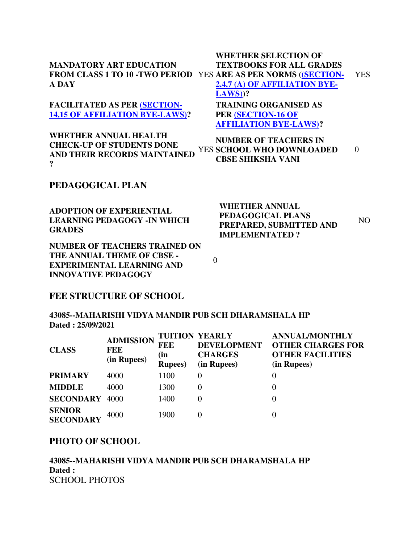|                                        | <b>WHETHER SELECTION OF</b>                                           |      |
|----------------------------------------|-----------------------------------------------------------------------|------|
| <b>MANDATORY ART EDUCATION</b>         | <b>TEXTBOOKS FOR ALL GRADES</b>                                       |      |
|                                        | <b>FROM CLASS 1 TO 10 -TWO PERIOD YES ARE AS PER NORMS ((SECTION-</b> | YES. |
| <b>A DAY</b>                           | 2.4.7 (A) OF AFFILIATION BYE-                                         |      |
|                                        | $LAWS$ )?                                                             |      |
| <b>FACILITATED AS PER (SECTION-</b>    | <b>TRAINING ORGANISED AS</b>                                          |      |
| <b>14.15 OF AFFILIATION BYE-LAWS)?</b> | PER (SECTION-16 OF                                                    |      |

**[AFFILIATION BYE-LAWS\)?](http://cbseaff.nic.in/cbse_aff/attachment/onlineservices/affiliation-Bye-Laws.pdf) WHETHER ANNUAL HEALTH NUMBER OF TEACHERS IN** 

**CHECK-UP OF STUDENTS DONE AND THEIR RECORDS MAINTAINED ?** YES **SCHOOL WHO DOWNLOADED CBSE SHIKSHA VANI** 0

#### **PEDAGOGICAL PLAN**

**ADOPTION OF EXPERIENTIAL LEARNING PEDAGOGY -IN WHICH GRADES**

**NUMBER OF TEACHERS TRAINED ON THE ANNUAL THEME OF CBSE - EXPERIMENTAL LEARNING AND INNOVATIVE PEDAGOGY**

**WHETHER ANNUAL PEDAGOGICAL PLANS PREPARED, SUBMITTED AND IMPLEMENTATED ?** NO

0

#### **FEE STRUCTURE OF SCHOOL**

**43085--MAHARISHI VIDYA MANDIR PUB SCH DHARAMSHALA HP Dated : 25/09/2021**

| <b>CLASS</b>                      | <b>ADMISSION</b><br><b>FEE</b><br>(in Rupees) | <b>TUITION YEARLY</b><br>FEE<br>(in<br><b>Rupees</b> ) | <b>DEVELOPMENT</b><br><b>CHARGES</b><br>(in Rupees) | <b>ANNUAL/MONTHLY</b><br><b>OTHER CHARGES FOR</b><br><b>OTHER FACILITIES</b><br>(in Rupees) |
|-----------------------------------|-----------------------------------------------|--------------------------------------------------------|-----------------------------------------------------|---------------------------------------------------------------------------------------------|
| <b>PRIMARY</b>                    | 4000                                          | 1100                                                   | $\theta$                                            | 0                                                                                           |
| <b>MIDDLE</b>                     | 4000                                          | 1300                                                   | 0                                                   | 0                                                                                           |
| <b>SECONDARY 4000</b>             |                                               | 1400                                                   |                                                     | 0                                                                                           |
| <b>SENIOR</b><br><b>SECONDARY</b> | 4000                                          | 1900                                                   |                                                     | 0                                                                                           |

#### **PHOTO OF SCHOOL**

**43085--MAHARISHI VIDYA MANDIR PUB SCH DHARAMSHALA HP Dated :** SCHOOL PHOTOS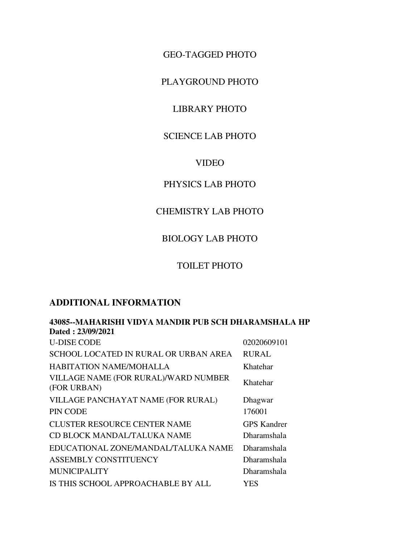GEO-TAGGED PHOTO

PLAYGROUND PHOTO

## LIBRARY PHOTO

# SCIENCE LAB PHOTO

#### VIDEO

# PHYSICS LAB PHOTO

### CHEMISTRY LAB PHOTO

# BIOLOGY LAB PHOTO

## TOILET PHOTO

## **ADDITIONAL INFORMATION**

| 43085--MAHARISHI VIDYA MANDIR PUB SCH DHARAMSHALA HP |                    |  |  |
|------------------------------------------------------|--------------------|--|--|
| Dated: 23/09/2021                                    |                    |  |  |
| <b>U-DISE CODE</b>                                   | 02020609101        |  |  |
| SCHOOL LOCATED IN RURAL OR URBAN AREA                | <b>RURAL</b>       |  |  |
| HABITATION NAME/MOHALLA                              | Khatehar           |  |  |
| VILLAGE NAME (FOR RURAL)/WARD NUMBER<br>(FOR URBAN)  | Khatehar           |  |  |
| VILLAGE PANCHAYAT NAME (FOR RURAL)                   | Dhagwar            |  |  |
| PIN CODE                                             | 176001             |  |  |
| <b>CLUSTER RESOURCE CENTER NAME</b>                  | <b>GPS Kandrer</b> |  |  |
| CD BLOCK MANDAL/TALUKA NAME                          | <b>Dharamshala</b> |  |  |
| EDUCATIONAL ZONE/MANDAL/TALUKA NAME                  | <b>Dharamshala</b> |  |  |
| ASSEMBLY CONSTITUENCY                                | Dharamshala        |  |  |
| <b>MUNICIPALITY</b>                                  | Dharamshala        |  |  |
| IS THIS SCHOOL APPROACHABLE BY ALL                   | YES                |  |  |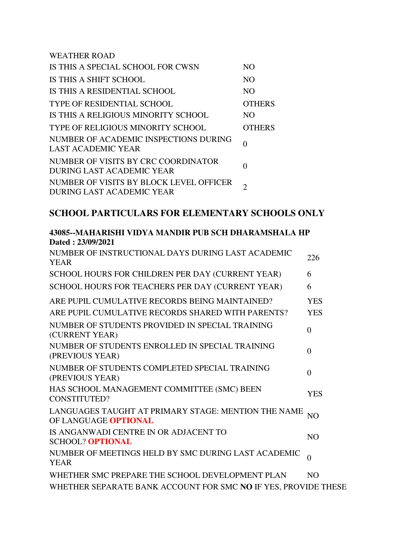WEATHER ROAD IS THIS A SPECIAL SCHOOL FOR CWSN NO IS THIS A SHIFT SCHOOL NO IS THIS A RESIDENTIAL SCHOOL NO TYPE OF RESIDENTIAL SCHOOL OTHERS IS THIS A RELIGIOUS MINORITY SCHOOL NO TYPE OF RELIGIOUS MINORITY SCHOOL OTHERS NUMBER OF ACADEMIC INSPECTIONS DURING NUMBER OF ACADEMIC INSPECTIONS DURING 0 NUMBER OF VISITS BY CRC COORDINATOR NUMBER OF VISITS BT CRC COORDINATOR 0 NUMBER OF VISITS BY BLOCK LEVEL OFFICER NUMBER OF VISITS BY BLOCK LEVEL OFFICER<br>DURING LAST ACADEMIC YEAR

## **SCHOOL PARTICULARS FOR ELEMENTARY SCHOOLS ONLY**

| 43003--MAHANISHI YIDTA MANDIN FUD SCH DHANAMSHALA HF           |                |
|----------------------------------------------------------------|----------------|
| Dated: 23/09/2021                                              |                |
| NUMBER OF INSTRUCTIONAL DAYS DURING LAST ACADEMIC              | 226            |
| <b>YEAR</b>                                                    |                |
| SCHOOL HOURS FOR CHILDREN PER DAY (CURRENT YEAR)               | 6              |
| SCHOOL HOURS FOR TEACHERS PER DAY (CURRENT YEAR)               | 6              |
| ARE PUPIL CUMULATIVE RECORDS BEING MAINTAINED?                 | <b>YES</b>     |
| ARE PUPIL CUMULATIVE RECORDS SHARED WITH PARENTS?              | <b>YES</b>     |
| NUMBER OF STUDENTS PROVIDED IN SPECIAL TRAINING                | $\theta$       |
| (CURRENT YEAR)                                                 |                |
| NUMBER OF STUDENTS ENROLLED IN SPECIAL TRAINING                | $\theta$       |
| (PREVIOUS YEAR)                                                |                |
| NUMBER OF STUDENTS COMPLETED SPECIAL TRAINING                  | $\Omega$       |
| (PREVIOUS YEAR)                                                |                |
| HAS SCHOOL MANAGEMENT COMMITTEE (SMC) BEEN                     | <b>YES</b>     |
| CONSTITUTED?                                                   |                |
| LANGUAGES TAUGHT AT PRIMARY STAGE: MENTION THE NAME            | NO <sub></sub> |
| OF LANGUAGE <b>OPTIONAL</b>                                    |                |
| IS ANGANWADI CENTRE IN OR ADJACENT TO                          | N <sub>O</sub> |
| <b>SCHOOL? OPTIONAL</b>                                        |                |
| NUMBER OF MEETINGS HELD BY SMC DURING LAST ACADEMIC            | $\theta$       |
| <b>YEAR</b>                                                    |                |
| WHETHER SMC PREPARE THE SCHOOL DEVELOPMENT PLAN                | N <sub>O</sub> |
| WHETHER SEPARATE BANK ACCOUNT FOR SMC NO IF YES, PROVIDE THESE |                |

**43085--MAHARISHI VIDYA MANDIR PUB SCH DHARAMSHALA HP**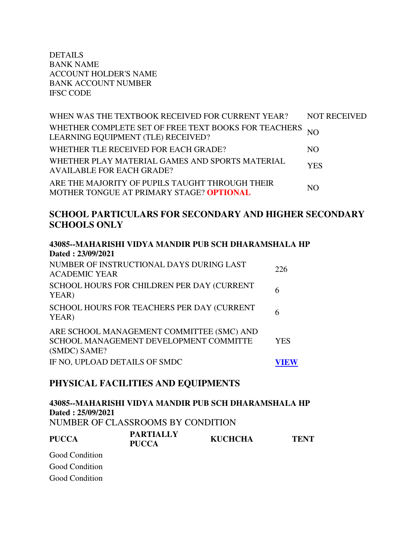DETAILS BANK NAME ACCOUNT HOLDER'S NAME BANK ACCOUNT NUMBER IFSC CODE

| WHEN WAS THE TEXTBOOK RECEIVED FOR CURRENT YEAR?                                              | <b>NOT RECEIVED</b> |
|-----------------------------------------------------------------------------------------------|---------------------|
| WHETHER COMPLETE SET OF FREE TEXT BOOKS FOR TEACHERS NO<br>LEARNING EQUIPMENT (TLE) RECEIVED? |                     |
| WHETHER TLE RECEIVED FOR EACH GRADE?                                                          | NO.                 |
| WHETHER PLAY MATERIAL GAMES AND SPORTS MATERIAL<br><b>AVAILABLE FOR EACH GRADE?</b>           | <b>YES</b>          |
| ARE THE MAJORITY OF PUPILS TAUGHT THROUGH THEIR<br>MOTHER TONGUE AT PRIMARY STAGE? OPTIONAL   | NO.                 |

## **SCHOOL PARTICULARS FOR SECONDARY AND HIGHER SECONDARY SCHOOLS ONLY**

| 43085--MAHARISHI VIDYA MANDIR PUB SCH DHARAMSHALA HP<br>Dated: 23/09/2021                           |     |
|-----------------------------------------------------------------------------------------------------|-----|
| NUMBER OF INSTRUCTIONAL DAYS DURING LAST<br><b>ACADEMIC YEAR</b>                                    | 226 |
| SCHOOL HOURS FOR CHILDREN PER DAY (CURRENT<br>YEAR)                                                 | 6   |
| SCHOOL HOURS FOR TEACHERS PER DAY (CURRENT<br>YEAR)                                                 | 6   |
| ARE SCHOOL MANAGEMENT COMMITTEE (SMC) AND<br>SCHOOL MANAGEMENT DEVELOPMENT COMMITTE<br>(SMDC) SAME? | YES |
| IF NO, UPLOAD DETAILS OF SMDC                                                                       |     |

### **PHYSICAL FACILITIES AND EQUIPMENTS**

**43085--MAHARISHI VIDYA MANDIR PUB SCH DHARAMSHALA HP Dated : 25/09/2021** NUMBER OF CLASSROOMS BY CONDITION **PUCCA PARTIALLY PUCCA KUCHCHA TENT**  Good Condition

Good Condition

Good Condition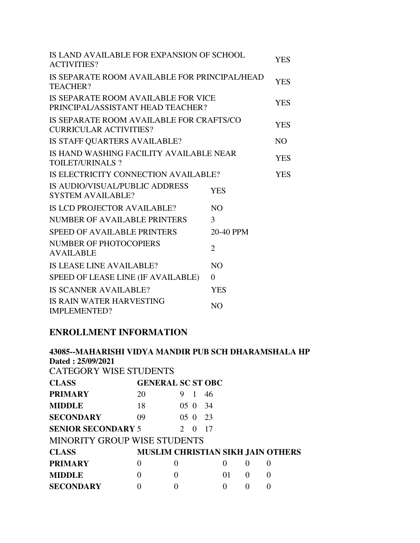| IS LAND AVAILABLE FOR EXPANSION OF SCHOOL<br><b>ACTIVITIES?</b>           |                | <b>YES</b> |
|---------------------------------------------------------------------------|----------------|------------|
| IS SEPARATE ROOM AVAILABLE FOR PRINCIPAL/HEAD<br>TEACHER?                 |                | <b>YES</b> |
| IS SEPARATE ROOM AVAILABLE FOR VICE<br>PRINCIPAL/ASSISTANT HEAD TEACHER?  |                | <b>YES</b> |
| IS SEPARATE ROOM AVAILABLE FOR CRAFTS/CO<br><b>CURRICULAR ACTIVITIES?</b> |                | <b>YES</b> |
| IS STAFF QUARTERS AVAILABLE?                                              |                | NO.        |
| IS HAND WASHING FACILITY AVAILABLE NEAR<br>TOILET/URINALS?                |                | <b>YES</b> |
| IS ELECTRICITY CONNECTION AVAILABLE?                                      |                | <b>YES</b> |
| IS AUDIO/VISUAL/PUBLIC ADDRESS<br><b>SYSTEM AVAILABLE?</b>                | <b>YES</b>     |            |
| IS LCD PROJECTOR AVAILABLE?                                               | N <sub>O</sub> |            |
| <b>NUMBER OF AVAILABLE PRINTERS</b>                                       | 3              |            |
| <b>SPEED OF AVAILABLE PRINTERS</b>                                        | 20-40 PPM      |            |
| <b>NUMBER OF PHOTOCOPIERS</b><br><b>AVAILABLE</b>                         | $\overline{2}$ |            |
| IS LEASE LINE AVAILABLE?                                                  | N <sub>O</sub> |            |
| SPEED OF LEASE LINE (IF AVAILABLE)                                        | 0              |            |
| <b>IS SCANNER AVAILABLE?</b>                                              | <b>YES</b>     |            |
| <b>IS RAIN WATER HARVESTING</b><br><b>IMPLEMENTED?</b>                    | N <sub>O</sub> |            |

# **ENROLLMENT INFORMATION**

| 43085--MAHARISHI VIDYA MANDIR PUB SCH DHARAMSHALA HP<br>Dated: 25/09/2021 |                          |          |  |    |          |   |                                          |  |
|---------------------------------------------------------------------------|--------------------------|----------|--|----|----------|---|------------------------------------------|--|
| <b>CATEGORY WISE STUDENTS</b>                                             |                          |          |  |    |          |   |                                          |  |
| <b>CLASS</b>                                                              | <b>GENERAL SC ST OBC</b> |          |  |    |          |   |                                          |  |
| <b>PRIMARY</b>                                                            | 20                       | 9        |  | 46 |          |   |                                          |  |
| <b>MIDDLE</b>                                                             | 18                       | 05.0     |  | 34 |          |   |                                          |  |
| <b>SECONDARY</b>                                                          | 09                       | 050      |  | 23 |          |   |                                          |  |
| <b>SENIOR SECONDARY 5</b><br>17<br>$\mathcal{D}_{\mathcal{L}}$<br>0       |                          |          |  |    |          |   |                                          |  |
| <b>MINORITY GROUP WISE STUDENTS</b>                                       |                          |          |  |    |          |   |                                          |  |
| <b>CLASS</b>                                                              |                          |          |  |    |          |   | <b>MUSLIM CHRISTIAN SIKH JAIN OTHERS</b> |  |
| <b>PRIMARY</b>                                                            | 0                        | $\Omega$ |  |    | $\Omega$ | 0 | $\Omega$                                 |  |
| <b>MIDDLE</b>                                                             | 0                        | 0        |  |    | 01       | 0 | $\Omega$                                 |  |
| <b>SECONDARY</b>                                                          |                          |          |  |    |          | 0 |                                          |  |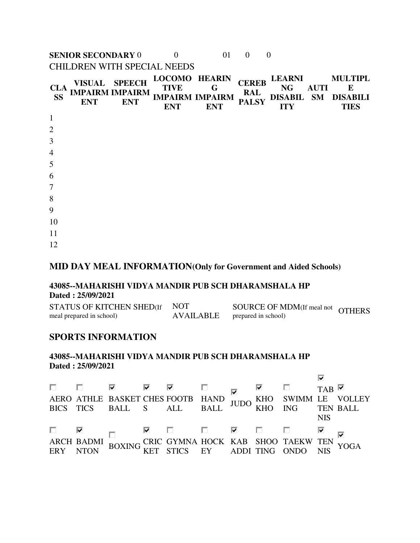**SENIOR SECONDARY** 0 0 01 0 0 CHILDREN WITH SPECIAL NEEDS

| <b>CLA</b><br><b>SS</b> | <b>ENT</b> | VISUAL SPEECH<br><b>IMPAIRM IMPAIRM</b><br><b>ENT</b> | <b>LOCOMO HEARIN</b><br><b>TIVE</b><br><b>ENT</b> | G<br><b>IMPAIRM IMPAIRM</b><br><b>ENT</b> | <b>CEREB</b><br><b>RAL</b><br><b>PALSY</b> | <b>LEARNI</b><br><b>NG</b><br><b>ITY</b> | <b>AUTI</b> | <b>MULTIPL</b><br>E<br>DISABIL SM DISABILI<br><b>TIES</b> |
|-------------------------|------------|-------------------------------------------------------|---------------------------------------------------|-------------------------------------------|--------------------------------------------|------------------------------------------|-------------|-----------------------------------------------------------|
| $\mathbf{1}$            |            |                                                       |                                                   |                                           |                                            |                                          |             |                                                           |
| $\overline{2}$          |            |                                                       |                                                   |                                           |                                            |                                          |             |                                                           |
| 3                       |            |                                                       |                                                   |                                           |                                            |                                          |             |                                                           |
| $\overline{4}$          |            |                                                       |                                                   |                                           |                                            |                                          |             |                                                           |
| 5                       |            |                                                       |                                                   |                                           |                                            |                                          |             |                                                           |
| 6                       |            |                                                       |                                                   |                                           |                                            |                                          |             |                                                           |
| $\tau$                  |            |                                                       |                                                   |                                           |                                            |                                          |             |                                                           |
| 8                       |            |                                                       |                                                   |                                           |                                            |                                          |             |                                                           |
| 9                       |            |                                                       |                                                   |                                           |                                            |                                          |             |                                                           |
| 10                      |            |                                                       |                                                   |                                           |                                            |                                          |             |                                                           |
| 11                      |            |                                                       |                                                   |                                           |                                            |                                          |             |                                                           |
| 12                      |            |                                                       |                                                   |                                           |                                            |                                          |             |                                                           |

#### **MID DAY MEAL INFORMATION(Only for Government and Aided Schools)**

#### **43085--MAHARISHI VIDYA MANDIR PUB SCH DHARAMSHALA HP Dated : 25/09/2021**

STATUS OF KITCHEN SHED(If meal prepared in school) NOT AVAILABLE SOURCE OF MDM(If meal not OTHERS<br>prepared in school)

#### **SPORTS INFORMATION**

#### **43085--MAHARISHI VIDYA MANDIR PUB SCH DHARAMSHALA HP Dated : 25/09/2021**

|  | $\begin{tabular}{lllllllllll} $\Box$ & $\boxbox{$\bowtie$} & $\boxbox{$\bowtie$} & $\boxbox{$\bowtie$} & $\boxbox{$\bowtie$} & $\boxbox{$\bowtie$} & $\boxbox{$\bowtie$} & $\boxbox{$\bowtie$} & $\boxbox{$\bowtie$} & $\boxbox{$\bowtie$} \\ \textbf{AERO ATHLE BASKET CHES FOOTB HAND} & $\boxbox{$\bowtie$} & $\boxbox{$\bowtie$} & $\boxbox{$\bowtie$} & $\text{SWIMM LE VOLLEY} \\ \textbf{BICS TICS} & \textbf{BALL} & \textbf{S} & \textbf{ALL} & \textbf{BALL} & \textbf{BALL} & \$                                                                                                                                                                                                            |  |  |  |            |  |
|--|--------------------------------------------------------------------------------------------------------------------------------------------------------------------------------------------------------------------------------------------------------------------------------------------------------------------------------------------------------------------------------------------------------------------------------------------------------------------------------------------------------------------------------------------------------------------------------------------------------------------------------------------------------------------------------------------------------|--|--|--|------------|--|
|  |                                                                                                                                                                                                                                                                                                                                                                                                                                                                                                                                                                                                                                                                                                        |  |  |  |            |  |
|  |                                                                                                                                                                                                                                                                                                                                                                                                                                                                                                                                                                                                                                                                                                        |  |  |  |            |  |
|  |                                                                                                                                                                                                                                                                                                                                                                                                                                                                                                                                                                                                                                                                                                        |  |  |  | <b>NIS</b> |  |
|  | $\begin{array}{lllllllll} \Box\ \textcolor{red}{\blacktriangleright}\ \textcolor{red}{\blacktriangleleft}\ \textcolor{red}{\blacktriangleleft}\ \textcolor{red}{\blacktriangleleft}\ \textcolor{red}{\blacktriangleleft}\ \textcolor{red}{\blacktriangleleft}\ \textcolor{red}{\blacktriangleleft}\ \textcolor{red}{\blacktriangleleft}\ \textcolor{red}{\blacktriangleleft}\ \textcolor{red}{\blacktriangleleft}\ \textcolor{red}{\blacktriangleleft}\ \textcolor{red}{\blacktriangleleft}\ \textcolor{red}{\blacktriangleleft}\ \textcolor{red}{\blacktriangleleft}\ \textcolor{red}{\mathsf{INR}}\ \textcolor{red}{\blacktriangleleft}\ \textcolor{red}{\mathsf{INR}}\ \textcolor{red}{\mathsf{ORD$ |  |  |  |            |  |
|  |                                                                                                                                                                                                                                                                                                                                                                                                                                                                                                                                                                                                                                                                                                        |  |  |  |            |  |
|  |                                                                                                                                                                                                                                                                                                                                                                                                                                                                                                                                                                                                                                                                                                        |  |  |  |            |  |